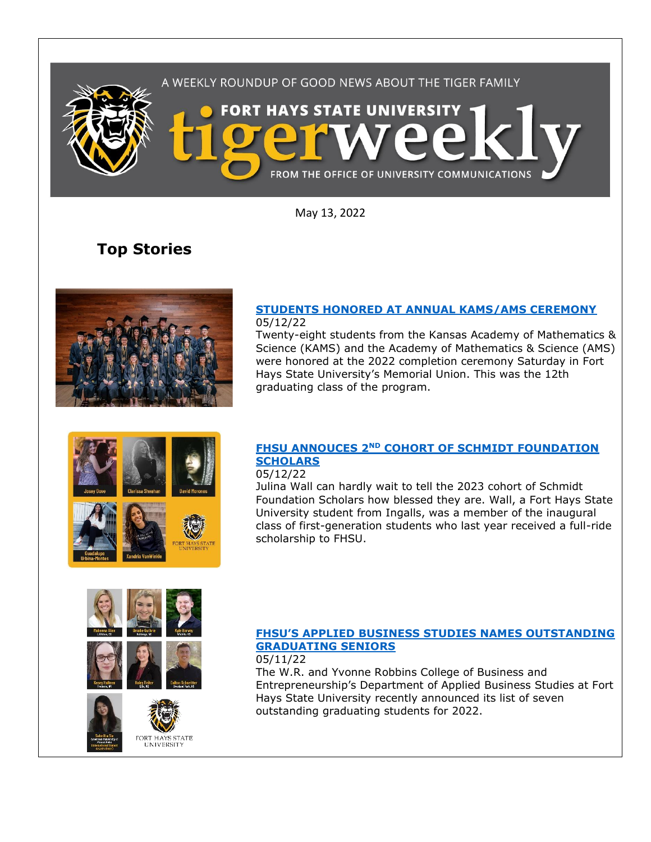

May 13, 2022

# **Top Stories**



### **[STUDENTS HONORED AT ANNUAL KAMS/AMS CEREMONY](https://www.fhsu.edu/news/2022/05/students-honored-at-annual-kamsams-ceremony)** 05/12/22

Twenty-eight students from the Kansas Academy of Mathematics & Science (KAMS) and the Academy of Mathematics & Science (AMS) were honored at the 2022 completion ceremony Saturday in Fort Hays State University's Memorial Union. This was the 12th graduating class of the program.

## **FHSU ANNOUCES 2ND [COHORT OF SCHMIDT FOUNDATION](https://www.fhsu.edu/news/2022/05/fhsu-announces-2nd-cohort-of-schmidt-foundation-scholars)  [SCHOLARS](https://www.fhsu.edu/news/2022/05/fhsu-announces-2nd-cohort-of-schmidt-foundation-scholars)**

### 05/12/22

Julina Wall can hardly wait to tell the 2023 cohort of Schmidt Foundation Scholars how blessed they are. Wall, a Fort Hays State University student from Ingalls, was a member of the inaugural class of first-generation students who last year received a full-ride scholarship to FHSU.



FORT HAYS STATE<br>UNIVERSITY



The W.R. and Yvonne Robbins College of Business and Entrepreneurship's Department of Applied Business Studies at Fort Hays State University recently announced its list of seven outstanding graduating students for 2022.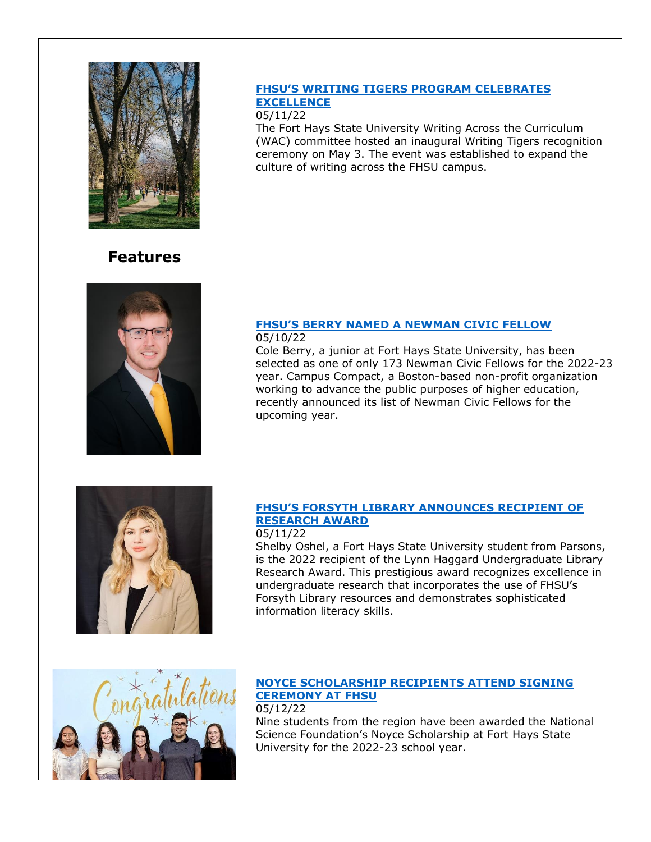

## **[FHSU'S WRITING TIGERS PROGRAM CELEBRATES](https://www.fhsu.edu/news/2022/05/fhsus-writing-tigers-program-celebrates-excellence)  [EXCELLENCE](https://www.fhsu.edu/news/2022/05/fhsus-writing-tigers-program-celebrates-excellence)**

### 05/11/22

The Fort Hays State University Writing Across the Curriculum (WAC) committee hosted an inaugural Writing Tigers recognition ceremony on May 3. The event was established to expand the culture of writing across the FHSU campus.

# **Features**



#### **FHSU['S BERRY NAMED A NEWMAN CIVIC FELLOW](https://www.fhsu.edu/news/2022/05/fhsus-berry-named-a-newman-civic-fellow)** 05/10/22

Cole Berry, a junior at Fort Hays State University, has been selected as one of only 173 Newman Civic Fellows for the 2022-23 year. Campus Compact, a Boston-based non-profit organization working to advance the public purposes of higher education, recently announced its list of Newman Civic Fellows for the upcoming year.



## **[FHSU'S FORSYTH LIBRARY ANNOUNCES RECIPIENT OF](https://www.fhsu.edu/news/2022/05/fhsus-forsyth-library-announces-recipient-of-research-award)  [RESEARCH AWARD](https://www.fhsu.edu/news/2022/05/fhsus-forsyth-library-announces-recipient-of-research-award)**

## 05/11/22

Shelby Oshel, a Fort Hays State University student from Parsons, is the 2022 recipient of the Lynn Haggard Undergraduate Library Research Award. This prestigious award recognizes excellence in undergraduate research that incorporates the use of FHSU's Forsyth Library resources and demonstrates sophisticated information literacy skills.



### **[NOYCE SCHOLARSHIP RECIPIENTS ATTEND SIGNING](https://www.fhsu.edu/news/2022/05/noyce-scholarship-recipients-attend-signing-ceremony-at-fhsu)  [CEREMONY AT FHSU](https://www.fhsu.edu/news/2022/05/noyce-scholarship-recipients-attend-signing-ceremony-at-fhsu)** 05/12/22

Nine students from the region have been awarded the National Science Foundation's Noyce Scholarship at Fort Hays State University for the 2022-23 school year.